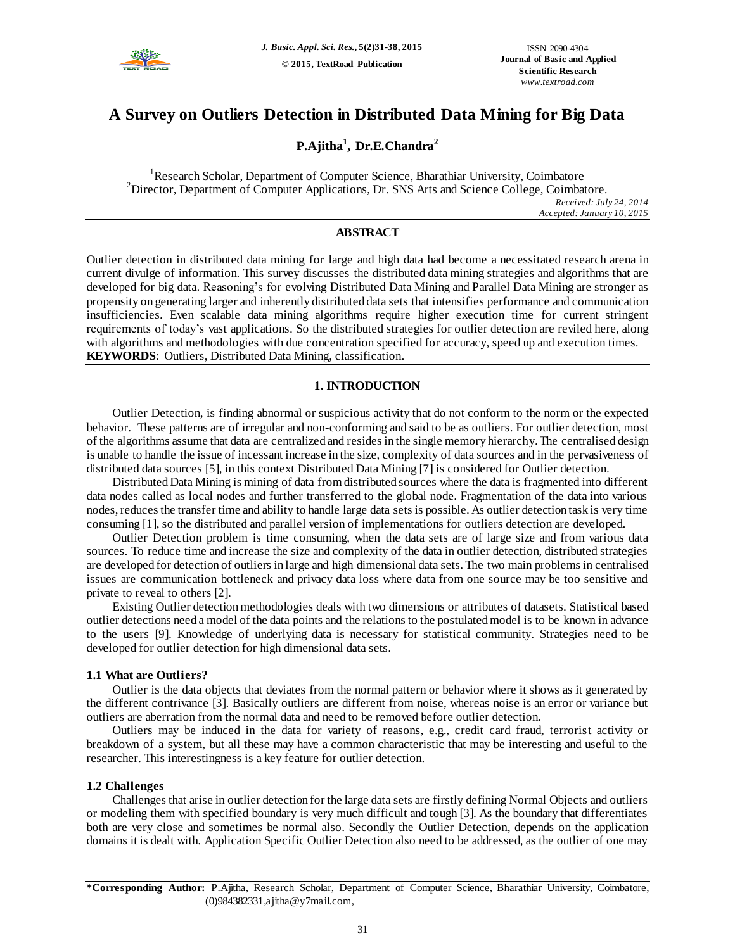

# **A Survey on Outliers Detection in Distributed Data Mining for Big Data**

**P.Ajitha<sup>1</sup> , Dr.E.Chandra<sup>2</sup>**

<sup>1</sup>Research Scholar, Department of Computer Science, Bharathiar University, Coimbatore  $2D$ irector, Department of Computer Applications, Dr. SNS Arts and Science College, Coimbatore. *Received: July 24, 2014 Accepted: January 10, 2015*

# **ABSTRACT**

Outlier detection in distributed data mining for large and high data had become a necessitated research arena in current divulge of information. This survey discusses the distributed data mining strategies and algorithms that are developed for big data. Reasoning's for evolving Distributed Data Mining and Parallel Data Mining are stronger as propensity on generating larger and inherently distributed data sets that intensifies performance and communication insufficiencies. Even scalable data mining algorithms require higher execution time for current stringent requirements of today's vast applications. So the distributed strategies for outlier detection are reviled here, along with algorithms and methodologies with due concentration specified for accuracy, speed up and execution times. **KEYWORDS**: Outliers, Distributed Data Mining, classification.

# **1. INTRODUCTION**

Outlier Detection, is finding abnormal or suspicious activity that do not conform to the norm or the expected behavior. These patterns are of irregular and non-conforming and said to be as outliers. For outlier detection, most of the algorithms assume that data are centralized and resides in the single memory hierarchy. The centralised design is unable to handle the issue of incessant increase in the size, complexity of data sources and in the pervasiveness of distributed data sources [5], in this context Distributed Data Mining [7] is considered for Outlier detection.

Distributed Data Mining is mining of data from distributed sources where the data is fragmented into different data nodes called as local nodes and further transferred to the global node. Fragmentation of the data into various nodes, reduces the transfer time and ability to handle large data sets is possible. As outlier detection task is very time consuming [1], so the distributed and parallel version of implementations for outliers detection are developed.

Outlier Detection problem is time consuming, when the data sets are of large size and from various data sources. To reduce time and increase the size and complexity of the data in outlier detection, distributed strategies are developed for detection of outliers in large and high dimensional data sets. The two main problems in centralised issues are communication bottleneck and privacy data loss where data from one source may be too sensitive and private to reveal to others [2].

Existing Outlier detection methodologies deals with two dimensions or attributes of datasets. Statistical based outlier detections need a model of the data points and the relations to the postulated model is to be known in advance to the users [9]. Knowledge of underlying data is necessary for statistical community. Strategies need to be developed for outlier detection for high dimensional data sets.

### **1.1 What are Outliers?**

Outlier is the data objects that deviates from the normal pattern or behavior where it shows as it generated by the different contrivance [3]. Basically outliers are different from noise, whereas noise is an error or variance but outliers are aberration from the normal data and need to be removed before outlier detection.

Outliers may be induced in the data for variety of reasons, e.g., credit card fraud, terrorist activity or breakdown of a system, but all these may have a common characteristic that may be interesting and useful to the researcher. This interestingness is a key feature for outlier detection.

### **1.2 Challenges**

Challenges that arise in outlier detection for the large data sets are firstly defining Normal Objects and outliers or modeling them with specified boundary is very much difficult and tough [3]. As the boundary that differentiates both are very close and sometimes be normal also. Secondly the Outlier Detection, depends on the application domains it is dealt with. Application Specific Outlier Detection also need to be addressed, as the outlier of one may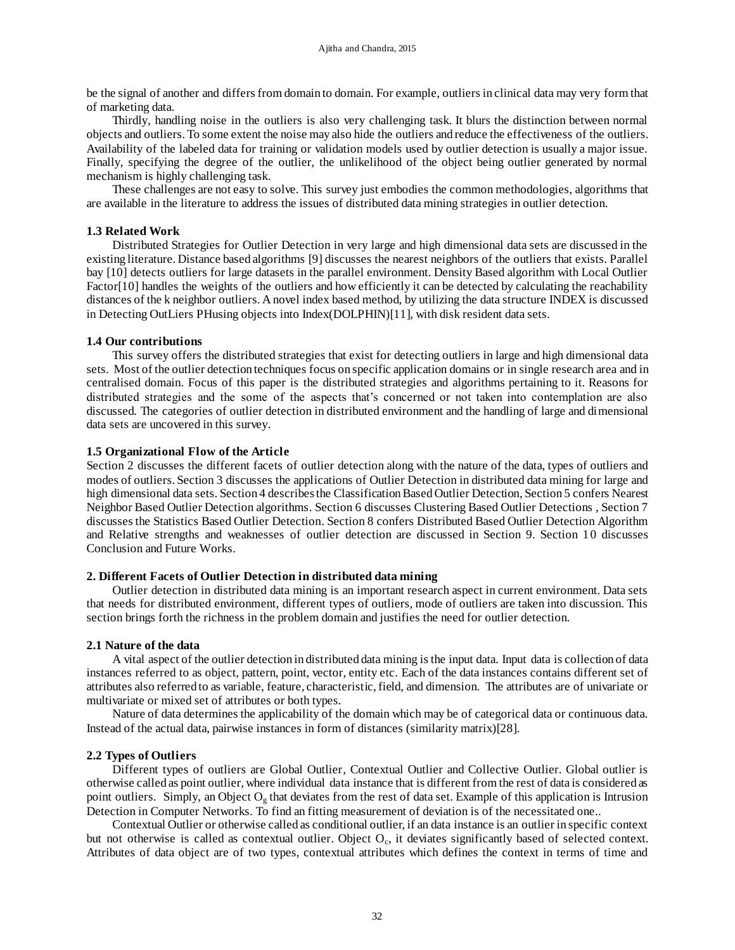be the signal of another and differs from domain to domain. For example, outliers in clinical data may very form that of marketing data.

Thirdly, handling noise in the outliers is also very challenging task. It blurs the distinction between normal objects and outliers. To some extent the noise may also hide the outliers and reduce the effectiveness of the outliers. Availability of the labeled data for training or validation models used by outlier detection is usually a major issue. Finally, specifying the degree of the outlier, the unlikelihood of the object being outlier generated by normal mechanism is highly challenging task.

These challenges are not easy to solve. This survey just embodies the common methodologies, algorithms that are available in the literature to address the issues of distributed data mining strategies in outlier detection.

### **1.3 Related Work**

Distributed Strategies for Outlier Detection in very large and high dimensional data sets are discussed in the existing literature. Distance based algorithms [9] discusses the nearest neighbors of the outliers that exists. Parallel bay [10] detects outliers for large datasets in the parallel environment. Density Based algorithm with Local Outlier Factor[10] handles the weights of the outliers and how efficiently it can be detected by calculating the reachability distances of the k neighbor outliers. A novel index based method, by utilizing the data structure INDEX is discussed in Detecting OutLiers PHusing objects into Index(DOLPHIN)[11], with disk resident data sets.

### **1.4 Our contributions**

This survey offers the distributed strategies that exist for detecting outliers in large and high dimensional data sets. Most of the outlier detection techniques focus on specific application domains or in single research area and in centralised domain. Focus of this paper is the distributed strategies and algorithms pertaining to it. Reasons for distributed strategies and the some of the aspects that's concerned or not taken into contemplation are also discussed. The categories of outlier detection in distributed environment and the handling of large and dimensional data sets are uncovered in this survey.

# **1.5 Organizational Flow of the Article**

Section 2 discusses the different facets of outlier detection along with the nature of the data, types of outliers and modes of outliers. Section 3 discusses the applications of Outlier Detection in distributed data mining for large and high dimensional data sets. Section 4 describes the Classification Based Outlier Detection, Section 5 confers Nearest Neighbor Based Outlier Detection algorithms. Section 6 discusses Clustering Based Outlier Detections , Section 7 discusses the Statistics Based Outlier Detection. Section 8 confers Distributed Based Outlier Detection Algorithm and Relative strengths and weaknesses of outlier detection are discussed in Section 9. Section 10 discusses Conclusion and Future Works.

### **2. Different Facets of Outlier Detection in distributed data mining**

Outlier detection in distributed data mining is an important research aspect in current environment. Data sets that needs for distributed environment, different types of outliers, mode of outliers are taken into discussion. This section brings forth the richness in the problem domain and justifies the need for outlier detection.

### **2.1 Nature of the data**

A vital aspect of the outlier detection in distributed data mining is the input data. Input data is collection of data instances referred to as object, pattern, point, vector, entity etc. Each of the data instances contains different set of attributes also referred to as variable, feature, characteristic, field, and dimension. The attributes are of univariate or multivariate or mixed set of attributes or both types.

Nature of data determines the applicability of the domain which may be of categorical data or continuous data. Instead of the actual data, pairwise instances in form of distances (similarity matrix)[28].

# **2.2 Types of Outliers**

Different types of outliers are Global Outlier, Contextual Outlier and Collective Outlier. Global outlier is otherwise called as point outlier, where individual data instance that is different from the rest of data is considered as point outliers. Simply, an Object  $O_g$  that deviates from the rest of data set. Example of this application is Intrusion Detection in Computer Networks. To find an fitting measurement of deviation is of the necessitated one..

Contextual Outlier or otherwise called as conditional outlier, if an data instance is an outlier in specific context but not otherwise is called as contextual outlier. Object  $O_c$ , it deviates significantly based of selected context. Attributes of data object are of two types, contextual attributes which defines the context in terms of time and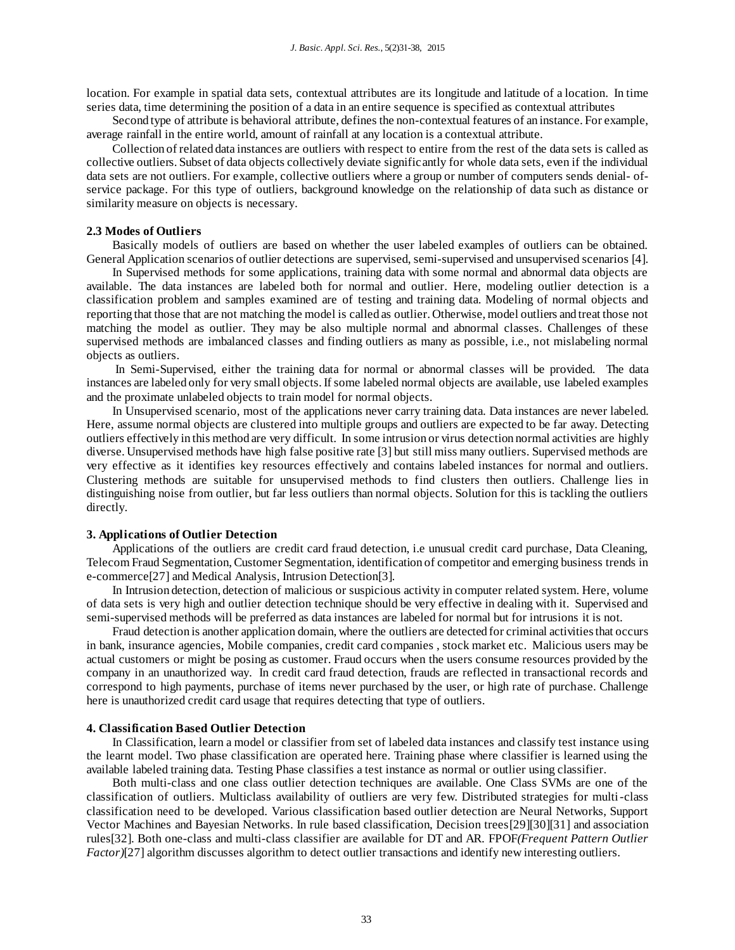location. For example in spatial data sets, contextual attributes are its longitude and latitude of a location. In time series data, time determining the position of a data in an entire sequence is specified as contextual attributes

Second type of attribute is behavioral attribute, defines the non-contextual features of an instance. For example, average rainfall in the entire world, amount of rainfall at any location is a contextual attribute.

Collection of related data instances are outliers with respect to entire from the rest of the data sets is called as collective outliers. Subset of data objects collectively deviate significantly for whole data sets, even if the individual data sets are not outliers. For example, collective outliers where a group or number of computers sends denial- ofservice package. For this type of outliers, background knowledge on the relationship of data such as distance or similarity measure on objects is necessary.

### **2.3 Modes of Outliers**

Basically models of outliers are based on whether the user labeled examples of outliers can be obtained. General Application scenarios of outlier detections are supervised, semi-supervised and unsupervised scenarios [4].

In Supervised methods for some applications, training data with some normal and abnormal data objects are available. The data instances are labeled both for normal and outlier. Here, modeling outlier detection is a classification problem and samples examined are of testing and training data. Modeling of normal objects and reporting that those that are not matching the model is called as outlier. Otherwise, model outliers and treat those not matching the model as outlier. They may be also multiple normal and abnormal classes. Challenges of these supervised methods are imbalanced classes and finding outliers as many as possible, i.e., not mislabeling normal objects as outliers.

In Semi-Supervised, either the training data for normal or abnormal classes will be provided. The data instances are labeled only for very small objects. If some labeled normal objects are available, use labeled examples and the proximate unlabeled objects to train model for normal objects.

In Unsupervised scenario, most of the applications never carry training data. Data instances are never labeled. Here, assume normal objects are clustered into multiple groups and outliers are expected to be far away. Detecting outliers effectively in this method are very difficult. In some intrusion or virus detection normal activities are highly diverse. Unsupervised methods have high false positive rate [3] but still miss many outliers. Supervised methods are very effective as it identifies key resources effectively and contains labeled instances for normal and outliers. Clustering methods are suitable for unsupervised methods to find clusters then outliers. Challenge lies in distinguishing noise from outlier, but far less outliers than normal objects. Solution for this is tackling the outliers directly.

### **3. Applications of Outlier Detection**

Applications of the outliers are credit card fraud detection, i.e unusual credit card purchase, Data Cleaning, Telecom Fraud Segmentation, Customer Segmentation, identification of competitor and emerging business trends in e-commerce[27] and Medical Analysis, Intrusion Detection[3].

In Intrusion detection, detection of malicious or suspicious activity in computer related system. Here, volume of data sets is very high and outlier detection technique should be very effective in dealing with it. Supervised and semi-supervised methods will be preferred as data instances are labeled for normal but for intrusions it is not.

Fraud detection is another application domain, where the outliers are detected for criminal activities that occurs in bank, insurance agencies, Mobile companies, credit card companies , stock market etc. Malicious users may be actual customers or might be posing as customer. Fraud occurs when the users consume resources provided by the company in an unauthorized way. In credit card fraud detection, frauds are reflected in transactional records and correspond to high payments, purchase of items never purchased by the user, or high rate of purchase. Challenge here is unauthorized credit card usage that requires detecting that type of outliers.

#### **4. Classification Based Outlier Detection**

In Classification, learn a model or classifier from set of labeled data instances and classify test instance using the learnt model. Two phase classification are operated here. Training phase where classifier is learned using the available labeled training data. Testing Phase classifies a test instance as normal or outlier using classifier.

Both multi-class and one class outlier detection techniques are available. One Class SVMs are one of the classification of outliers. Multiclass availability of outliers are very few. Distributed strategies for multi-class classification need to be developed. Various classification based outlier detection are Neural Networks, Support Vector Machines and Bayesian Networks. In rule based classification, Decision trees[29][30][31] and association rules[32]. Both one-class and multi-class classifier are available for DT and AR. FPOF*(Frequent Pattern Outlier Factor*)[27] algorithm discusses algorithm to detect outlier transactions and identify new interesting outliers.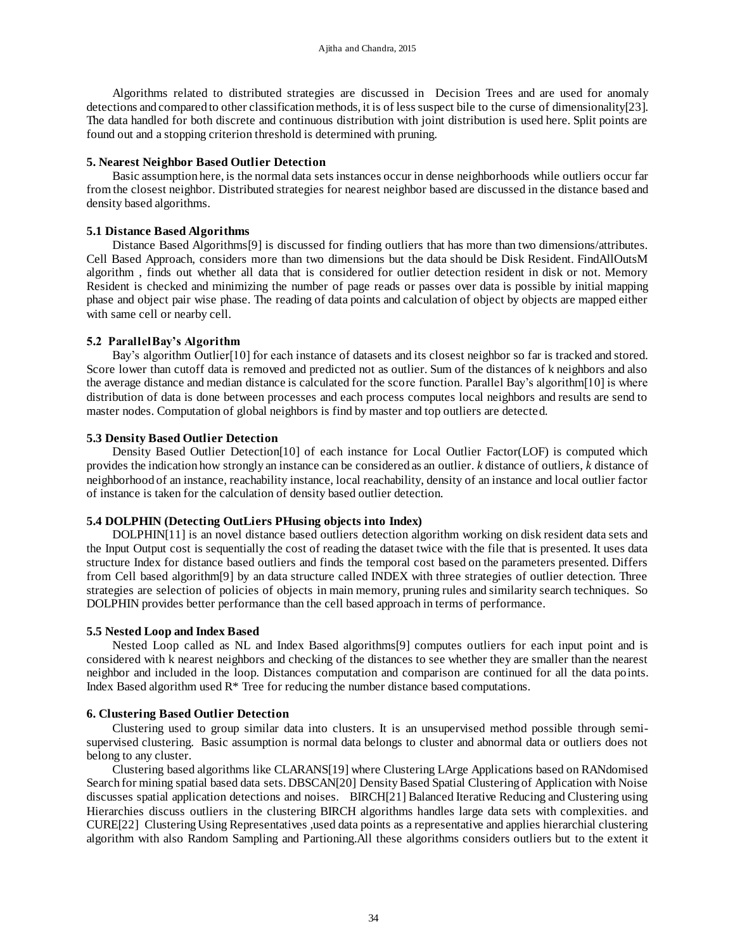Algorithms related to distributed strategies are discussed in Decision Trees and are used for anomaly detections and compared to other classification methods, it is of less suspect bile to the curse of dimensionality[23]. The data handled for both discrete and continuous distribution with joint distribution is used here. Split points are found out and a stopping criterion threshold is determined with pruning.

### **5. Nearest Neighbor Based Outlier Detection**

Basic assumption here, is the normal data sets instances occur in dense neighborhoods while outliers occur far from the closest neighbor. Distributed strategies for nearest neighbor based are discussed in the distance based and density based algorithms.

### **5.1 Distance Based Algorithms**

Distance Based Algorithms[9] is discussed for finding outliers that has more than two dimensions/attributes. Cell Based Approach, considers more than two dimensions but the data should be Disk Resident. FindAllOutsM algorithm , finds out whether all data that is considered for outlier detection resident in disk or not. Memory Resident is checked and minimizing the number of page reads or passes over data is possible by initial mapping phase and object pair wise phase. The reading of data points and calculation of object by objects are mapped either with same cell or nearby cell.

### **5.2 ParallelBay's Algorithm**

Bay's algorithm Outlier[10] for each instance of datasets and its closest neighbor so far is tracked and stored. Score lower than cutoff data is removed and predicted not as outlier. Sum of the distances of k neighbors and also the average distance and median distance is calculated for the score function. Parallel Bay's algorithm[10] is where distribution of data is done between processes and each process computes local neighbors and results are send to master nodes. Computation of global neighbors is find by master and top outliers are detected.

### **5.3 Density Based Outlier Detection**

Density Based Outlier Detection[10] of each instance for Local Outlier Factor(LOF) is computed which provides the indication how strongly an instance can be considered as an outlier. *k* distance of outliers, *k* distance of neighborhood of an instance, reachability instance, local reachability, density of an instance and local outlier factor of instance is taken for the calculation of density based outlier detection.

### **5.4 DOLPHIN (Detecting OutLiers PHusing objects into Index)**

DOLPHIN[11] is an novel distance based outliers detection algorithm working on disk resident data sets and the Input Output cost is sequentially the cost of reading the dataset twice with the file that is presented. It uses data structure Index for distance based outliers and finds the temporal cost based on the parameters presented. Differs from Cell based algorithm[9] by an data structure called INDEX with three strategies of outlier detection. Three strategies are selection of policies of objects in main memory, pruning rules and similarity search techniques. So DOLPHIN provides better performance than the cell based approach in terms of performance.

#### **5.5 Nested Loop and Index Based**

Nested Loop called as NL and Index Based algorithms[9] computes outliers for each input point and is considered with k nearest neighbors and checking of the distances to see whether they are smaller than the nearest neighbor and included in the loop. Distances computation and comparison are continued for all the data points. Index Based algorithm used  $R^*$  Tree for reducing the number distance based computations.

#### **6. Clustering Based Outlier Detection**

Clustering used to group similar data into clusters. It is an unsupervised method possible through semisupervised clustering. Basic assumption is normal data belongs to cluster and abnormal data or outliers does not belong to any cluster.

Clustering based algorithms like CLARANS[19] where Clustering LArge Applications based on RANdomised Search for mining spatial based data sets. DBSCAN[20] Density Based Spatial Clustering of Application with Noise discusses spatial application detections and noises. BIRCH[21] Balanced Iterative Reducing and Clustering using Hierarchies discuss outliers in the clustering BIRCH algorithms handles large data sets with complexities. and CURE[22] Clustering Using Representatives ,used data points as a representative and applies hierarchial clustering algorithm with also Random Sampling and Partioning.All these algorithms considers outliers but to the extent it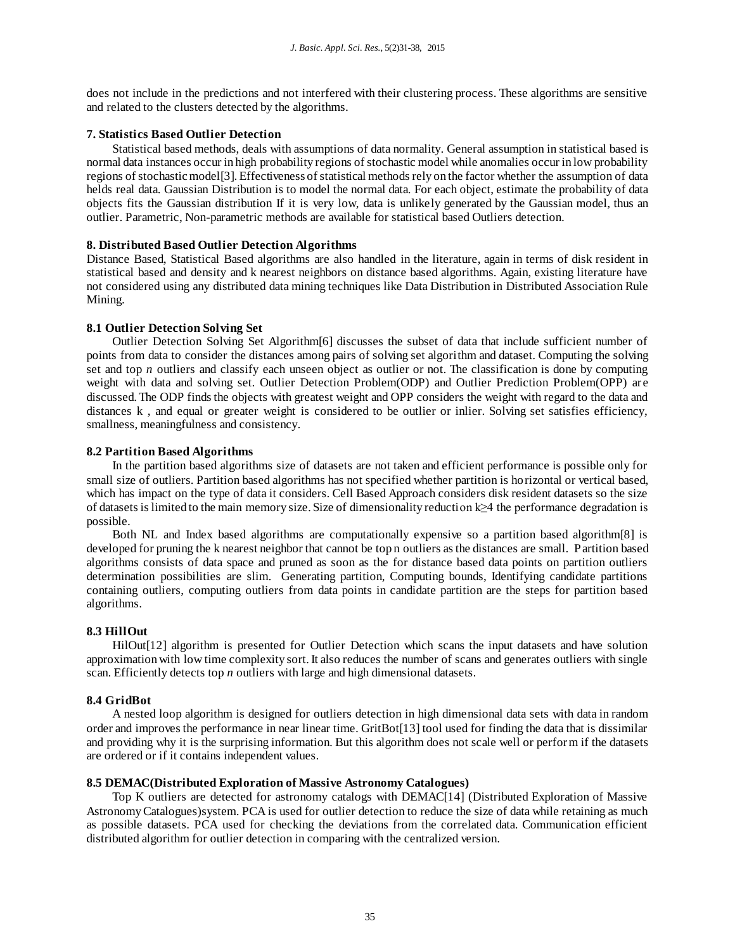does not include in the predictions and not interfered with their clustering process. These algorithms are sensitive and related to the clusters detected by the algorithms.

# **7. Statistics Based Outlier Detection**

Statistical based methods, deals with assumptions of data normality. General assumption in statistical based is normal data instances occur in high probability regions of stochastic model while anomalies occur in low probability regions of stochastic model[3]. Effectiveness of statistical methods rely on the factor whether the assumption of data helds real data. Gaussian Distribution is to model the normal data. For each object, estimate the probability of data objects fits the Gaussian distribution If it is very low, data is unlikely generated by the Gaussian model, thus an outlier. Parametric, Non-parametric methods are available for statistical based Outliers detection.

### **8. Distributed Based Outlier Detection Algorithms**

Distance Based, Statistical Based algorithms are also handled in the literature, again in terms of disk resident in statistical based and density and k nearest neighbors on distance based algorithms. Again, existing literature have not considered using any distributed data mining techniques like Data Distribution in Distributed Association Rule Mining.

### **8.1 Outlier Detection Solving Set**

Outlier Detection Solving Set Algorithm[6] discusses the subset of data that include sufficient number of points from data to consider the distances among pairs of solving set algorithm and dataset. Computing the solving set and top *n* outliers and classify each unseen object as outlier or not. The classification is done by computing weight with data and solving set. Outlier Detection Problem(ODP) and Outlier Prediction Problem(OPP) are discussed. The ODP finds the objects with greatest weight and OPP considers the weight with regard to the data and distances k , and equal or greater weight is considered to be outlier or inlier. Solving set satisfies efficiency, smallness, meaningfulness and consistency.

### **8.2 Partition Based Algorithms**

In the partition based algorithms size of datasets are not taken and efficient performance is possible only for small size of outliers. Partition based algorithms has not specified whether partition is horizontal or vertical based, which has impact on the type of data it considers. Cell Based Approach considers disk resident datasets so the size of datasets is limited to the main memory size. Size of dimensionality reduction k≥4 the performance degradation is possible.

Both NL and Index based algorithms are computationally expensive so a partition based algorithm[8] is developed for pruning the k nearest neighbor that cannot be top n outliers as the distances are small. Partition based algorithms consists of data space and pruned as soon as the for distance based data points on partition outliers determination possibilities are slim. Generating partition, Computing bounds, Identifying candidate partitions containing outliers, computing outliers from data points in candidate partition are the steps for partition based algorithms.

#### **8.3 HillOut**

HilOut[12] algorithm is presented for Outlier Detection which scans the input datasets and have solution approximation with low time complexity sort. It also reduces the number of scans and generates outliers with single scan. Efficiently detects top *n* outliers with large and high dimensional datasets.

### **8.4 GridBot**

A nested loop algorithm is designed for outliers detection in high dimensional data sets with data in random order and improves the performance in near linear time. GritBot[13] tool used for finding the data that is dissimilar and providing why it is the surprising information. But this algorithm does not scale well or perform if the datasets are ordered or if it contains independent values.

### **8.5 DEMAC(Distributed Exploration of Massive Astronomy Catalogues)**

Top K outliers are detected for astronomy catalogs with DEMAC[14] (Distributed Exploration of Massive Astronomy Catalogues)system. PCA is used for outlier detection to reduce the size of data while retaining as much as possible datasets. PCA used for checking the deviations from the correlated data. Communication efficient distributed algorithm for outlier detection in comparing with the centralized version.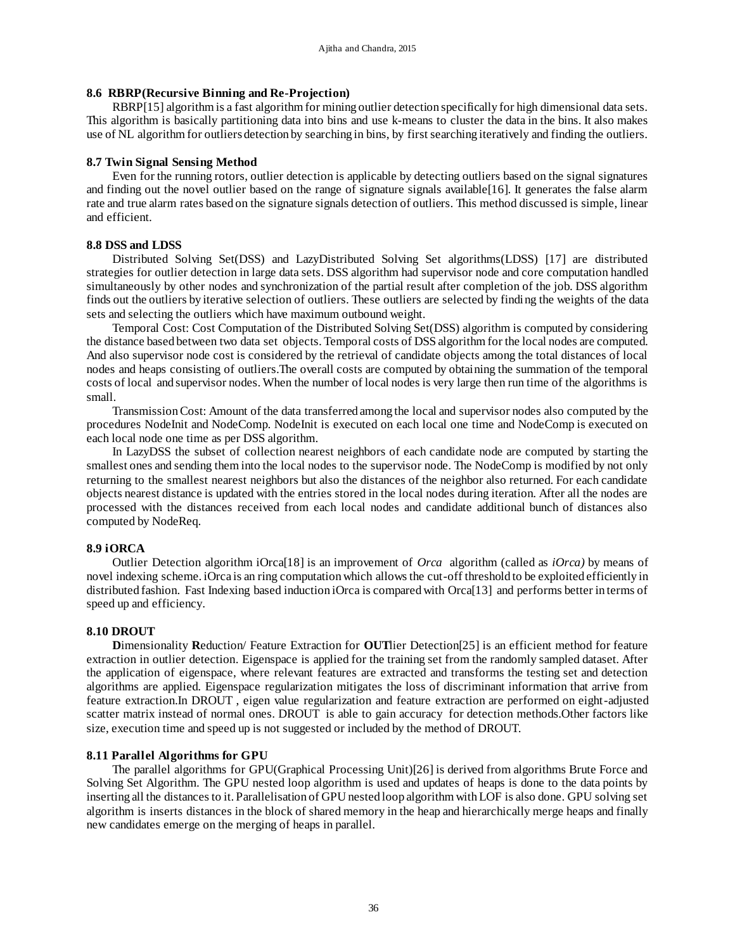# **8.6 RBRP(Recursive Binning and Re-Projection)**

RBRP[15] algorithm is a fast algorithm for mining outlier detection specifically for high dimensional data sets. This algorithm is basically partitioning data into bins and use k-means to cluster the data in the bins. It also makes use of NL algorithm for outliers detection by searching in bins, by first searching iteratively and finding the outliers.

### **8.7 Twin Signal Sensing Method**

Even for the running rotors, outlier detection is applicable by detecting outliers based on the signal signatures and finding out the novel outlier based on the range of signature signals available[16]. It generates the false alarm rate and true alarm rates based on the signature signals detection of outliers. This method discussed is simple, linear and efficient.

### **8.8 DSS and LDSS**

Distributed Solving Set(DSS) and LazyDistributed Solving Set algorithms(LDSS) [17] are distributed strategies for outlier detection in large data sets. DSS algorithm had supervisor node and core computation handled simultaneously by other nodes and synchronization of the partial result after completion of the job. DSS algorithm finds out the outliers by iterative selection of outliers. These outliers are selected by finding the weights of the data sets and selecting the outliers which have maximum outbound weight.

Temporal Cost: Cost Computation of the Distributed Solving Set(DSS) algorithm is computed by considering the distance based between two data set objects. Temporal costs of DSS algorithm for the local nodes are computed. And also supervisor node cost is considered by the retrieval of candidate objects among the total distances of local nodes and heaps consisting of outliers.The overall costs are computed by obtaining the summation of the temporal costs of local and supervisor nodes. When the number of local nodes is very large then run time of the algorithms is small.

Transmission Cost: Amount of the data transferred among the local and supervisor nodes also computed by the procedures NodeInit and NodeComp. NodeInit is executed on each local one time and NodeComp is executed on each local node one time as per DSS algorithm.

In LazyDSS the subset of collection nearest neighbors of each candidate node are computed by starting the smallest ones and sending them into the local nodes to the supervisor node. The NodeComp is modified by not only returning to the smallest nearest neighbors but also the distances of the neighbor also returned. For each candidate objects nearest distance is updated with the entries stored in the local nodes during iteration. After all the nodes are processed with the distances received from each local nodes and candidate additional bunch of distances also computed by NodeReq.

# **8.9 iORCA**

Outlier Detection algorithm iOrca[18] is an improvement of *Orca* algorithm (called as *iOrca)* by means of novel indexing scheme. iOrca is an ring computation which allows the cut-off threshold to be exploited efficiently in distributed fashion. Fast Indexing based induction iOrca is compared with Orca[13] and performs better in terms of speed up and efficiency.

#### **8.10 DROUT**

**D**imensionality **R**eduction/ Feature Extraction for **OUT**lier Detection[25] is an efficient method for feature extraction in outlier detection. Eigenspace is applied for the training set from the randomly sampled dataset. After the application of eigenspace, where relevant features are extracted and transforms the testing set and detection algorithms are applied. Eigenspace regularization mitigates the loss of discriminant information that arrive from feature extraction.In DROUT , eigen value regularization and feature extraction are performed on eight-adjusted scatter matrix instead of normal ones. DROUT is able to gain accuracy for detection methods.Other factors like size, execution time and speed up is not suggested or included by the method of DROUT.

#### **8.11 Parallel Algorithms for GPU**

The parallel algorithms for GPU(Graphical Processing Unit)[26] is derived from algorithms Brute Force and Solving Set Algorithm. The GPU nested loop algorithm is used and updates of heaps is done to the data points by inserting all the distances to it. Parallelisation of GPU nested loop algorithm with LOF is also done. GPU solving set algorithm is inserts distances in the block of shared memory in the heap and hierarchically merge heaps and finally new candidates emerge on the merging of heaps in parallel.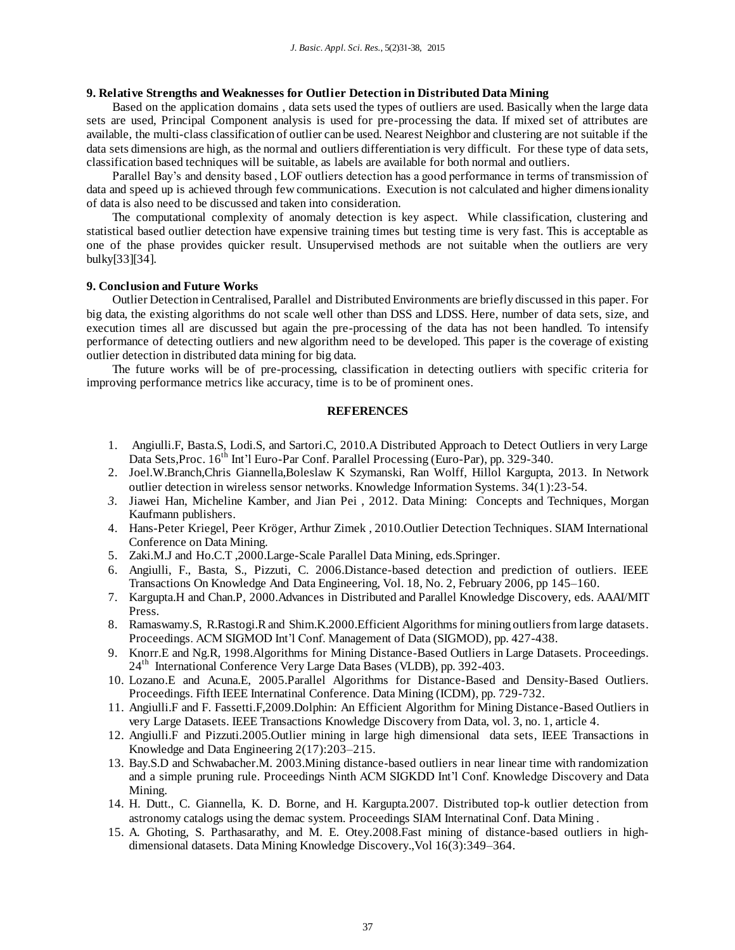# **9. Relative Strengths and Weaknesses for Outlier Detection in Distributed Data Mining**

Based on the application domains , data sets used the types of outliers are used. Basically when the large data sets are used, Principal Component analysis is used for pre-processing the data. If mixed set of attributes are available, the multi-class classification of outlier can be used. Nearest Neighbor and clustering are not suitable if the data sets dimensions are high, as the normal and outliers differentiation is very difficult. For these type of data sets, classification based techniques will be suitable, as labels are available for both normal and outliers.

Parallel Bay's and density based , LOF outliers detection has a good performance in terms of transmission of data and speed up is achieved through few communications. Execution is not calculated and higher dimensionality of data is also need to be discussed and taken into consideration.

The computational complexity of anomaly detection is key aspect. While classification, clustering and statistical based outlier detection have expensive training times but testing time is very fast. This is acceptable as one of the phase provides quicker result. Unsupervised methods are not suitable when the outliers are very bulky[33][34].

### **9. Conclusion and Future Works**

Outlier Detection in Centralised, Parallel and Distributed Environments are briefly discussed in this paper. For big data, the existing algorithms do not scale well other than DSS and LDSS. Here, number of data sets, size, and execution times all are discussed but again the pre-processing of the data has not been handled. To intensify performance of detecting outliers and new algorithm need to be developed. This paper is the coverage of existing outlier detection in distributed data mining for big data.

The future works will be of pre-processing, classification in detecting outliers with specific criteria for improving performance metrics like accuracy, time is to be of prominent ones.

# **REFERENCES**

- 1. Angiulli.F, Basta.S, Lodi.S, and Sartori.C, 2010.A Distributed Approach to Detect Outliers in very Large Data Sets, Proc. 16<sup>th</sup> Int'l Euro-Par Conf. Parallel Processing (Euro-Par), pp. 329-340.
- 2. Joel.W.Branch,Chris Giannella,Boleslaw K Szymanski, Ran Wolff, Hillol Kargupta, 2013. In Network outlier detection in wireless sensor networks. Knowledge Information Systems. 34(1):23-54.
- *3.* Jiawei Han, Micheline Kamber, and Jian Pei , 2012. Data Mining: Concepts and Techniques, Morgan Kaufmann publishers.
- 4. Hans-Peter Kriegel, Peer Kröger, Arthur Zimek , 2010.Outlier Detection Techniques. SIAM International Conference on Data Mining.
- 5. Zaki.M.J and Ho.C.T ,2000.Large-Scale Parallel Data Mining, eds.Springer.
- 6. Angiulli, F., Basta, S., Pizzuti, C. 2006.Distance-based detection and prediction of outliers. IEEE Transactions On Knowledge And Data Engineering, Vol. 18, No. 2, February 2006, pp 145–160.
- 7. Kargupta.H and Chan.P, 2000.Advances in Distributed and Parallel Knowledge Discovery, eds. AAAI/MIT Press.
- 8. Ramaswamy.S, R.Rastogi.Rand Shim.K.2000.Efficient Algorithms for mining outliers from large datasets. Proceedings. ACM SIGMOD Int'l Conf. Management of Data (SIGMOD), pp. 427-438.
- 9. Knorr.E and Ng.R, 1998.Algorithms for Mining Distance-Based Outliers in Large Datasets. Proceedings. 24<sup>th</sup> International Conference Very Large Data Bases (VLDB), pp. 392-403.
- 10. Lozano.E and Acuna.E, 2005.Parallel Algorithms for Distance-Based and Density-Based Outliers. Proceedings. Fifth IEEE Internatinal Conference. Data Mining (ICDM), pp. 729-732.
- 11. Angiulli.F and F. Fassetti.F,2009.Dolphin: An Efficient Algorithm for Mining Distance-Based Outliers in very Large Datasets. IEEE Transactions Knowledge Discovery from Data, vol. 3, no. 1, article 4.
- 12. Angiulli.F and Pizzuti.2005.Outlier mining in large high dimensional data sets, IEEE Transactions in Knowledge and Data Engineering 2(17):203–215.
- 13. Bay.S.D and Schwabacher.M. 2003.Mining distance-based outliers in near linear time with randomization and a simple pruning rule. Proceedings Ninth ACM SIGKDD Int'l Conf. Knowledge Discovery and Data Mining.
- 14. H. Dutt., C. Giannella, K. D. Borne, and H. Kargupta.2007. Distributed top-k outlier detection from astronomy catalogs using the demac system. Proceedings SIAM Internatinal Conf. Data Mining .
- 15. A. Ghoting, S. Parthasarathy, and M. E. Otey.2008.Fast mining of distance-based outliers in highdimensional datasets. Data Mining Knowledge Discovery.,Vol 16(3):349–364.